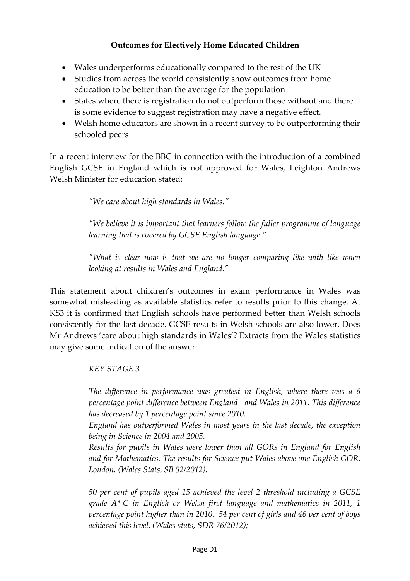## **Outcomes for Electively Home Educated Children**

- Wales underperforms educationally compared to the rest of the UK
- Studies from across the world consistently show outcomes from home education to be better than the average for the population
- States where there is registration do not outperform those without and there is some evidence to suggest registration may have a negative effect.
- Welsh home educators are shown in a recent survey to be outperforming their schooled peers

In a recent interview for the BBC in connection with the introduction of a combined English GCSE in England which is not approved for Wales, Leighton Andrews Welsh Minister for education stated:

*ʺWe care about high standards in Wales.ʺ* 

*ʺWe believe it is important that learners follow the fuller programme of language learning that is covered by GCSE English language."* 

*ʺWhat is clear now is that we are no longer comparing like with like when looking at results in Wales and England.ʺ* 

This statement about children's outcomes in exam performance in Wales was somewhat misleading as available statistics refer to results prior to this change. At KS3 it is confirmed that English schools have performed better than Welsh schools consistently for the last decade. GCSE results in Welsh schools are also lower. Does Mr Andrews 'care about high standards in Wales'? Extracts from the Wales statistics may give some indication of the answer:

*KEY STAGE 3*

*The difference in performance was greatest in English, where there was a 6 percentage point difference between England and Wales in 2011. This difference has decreased by 1 percentage point since 2010.*

*England has outperformed Wales in most years in the last decade, the exception being in Science in 2004 and 2005.*

*Results for pupils in Wales were lower than all GORs in England for English and for Mathematics. The results for Science put Wales above one English GOR, London. (Wales Stats, SB 52/2012).*

*50 per cent of pupils aged 15 achieved the level 2 threshold including a GCSE grade A\*‐C in English or Welsh first language and mathematics in 2011, 1 percentage point higher than in 2010. 54 per cent of girls and 46 per cent of boys achieved this level. (Wales stats, SDR 76/2012);*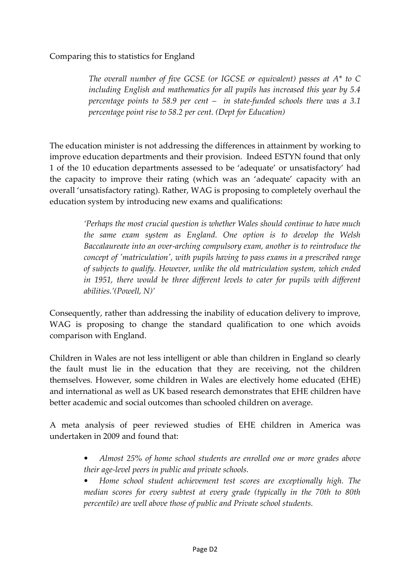## Comparing this to statistics for England

*The overall number of five GCSE (or IGCSE or equivalent) passes at A\* to C including English and mathematics for all pupils has increased this year by 5.4 percentage points to 58.9 per cent – in state‐funded schools there was a 3.1 percentage point rise to 58.2 per cent. (Dept for Education)*

The education minister is not addressing the differences in attainment by working to improve education departments and their provision. Indeed ESTYN found that only 1 of the 10 education departments assessed to be 'adequate' or unsatisfactory' had the capacity to improve their rating (which was an 'adequate' capacity with an overall 'unsatisfactory rating). Rather, WAG is proposing to completely overhaul the education system by introducing new exams and qualifications:

> *'Perhaps the most crucial question is whether Wales should continue to have much the same exam system as England. One option is to develop the Welsh Baccalaureate into an over‐arching compulsory exam, another is to reintroduce the concept of ʹmatriculationʹ, with pupils having to pass exams in a prescribed range of subjects to qualify. However, unlike the old matriculation system, which ended in 1951, there would be three different levels to cater for pupils with different abilities.'(Powell, N)'*

Consequently, rather than addressing the inability of education delivery to improve, WAG is proposing to change the standard qualification to one which avoids comparison with England.

Children in Wales are not less intelligent or able than children in England so clearly the fault must lie in the education that they are receiving, not the children themselves. However, some children in Wales are electively home educated (EHE) and international as well as UK based research demonstrates that EHE children have better academic and social outcomes than schooled children on average.

A meta analysis of peer reviewed studies of EHE children in America was undertaken in 2009 and found that:

- *• Almost 25% of home school students are enrolled one or more grades above their age‐level peers in public and private schools.*
- *• Home school student achievement test scores are exceptionally high. The median scores for every subtest at every grade (typically in the 70th to 80th percentile) are well above those of public and Private school students.*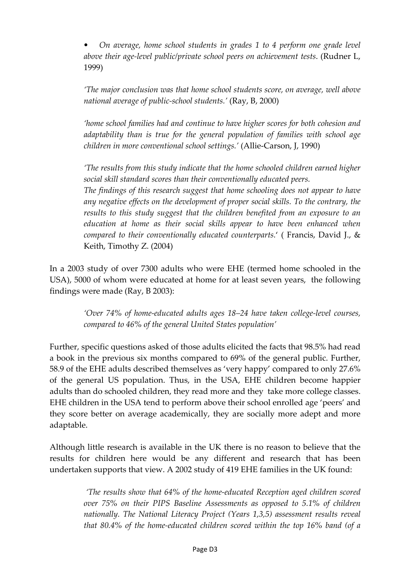*• On average, home school students in grades 1 to 4 perform one grade level above their age‐level public/private school peers on achievement tests*. (Rudner L, 1999)

*'The major conclusion was that home school students score, on average, well above national average of public‐school students.'* (Ray, B, 2000)

*'home school families had and continue to have higher scores for both cohesion and adaptability than is true for the general population of families with school age children in more conventional school settings.'* (Allie‐Carson, J, 1990)

*'The results from this study indicate that the home schooled children earned higher social skill standard scores than their conventionally educated peers.* 

*The findings of this research suggest that home schooling does not appear to have any negative effects on the development of proper social skills. To the contrary, the results to this study suggest that the children benefited from an exposure to an education at home as their social skills appear to have been enhanced when compared to their conventionally educated counterparts.*' ( Francis, David J., & Keith, Timothy Z. (2004)

In a 2003 study of over 7300 adults who were EHE (termed home schooled in the USA), 5000 of whom were educated at home for at least seven years, the following findings were made (Ray, B 2003):

> *'Over 74% of home‐educated adults ages 18–24 have taken college‐level courses, compared to 46% of the general United States population'*

Further, specific questions asked of those adults elicited the facts that 98.5% had read a book in the previous six months compared to 69% of the general public. Further, 58.9 of the EHE adults described themselves as 'very happy' compared to only 27.6% of the general US population. Thus, in the USA, EHE children become happier adults than do schooled children, they read more and they take more college classes. EHE children in the USA tend to perform above their school enrolled age 'peers' and they score better on average academically, they are socially more adept and more adaptable.

Although little research is available in the UK there is no reason to believe that the results for children here would be any different and research that has been undertaken supports that view. A 2002 study of 419 EHE families in the UK found:

> *'The results show that 64% of the home‐educated Reception aged children scored over 75% on their PIPS Baseline Assessments as opposed to 5.1% of children nationally. The National Literacy Project (Years 1,3,5) assessment results reveal that 80.4% of the home‐educated children scored within the top 16% band (of a*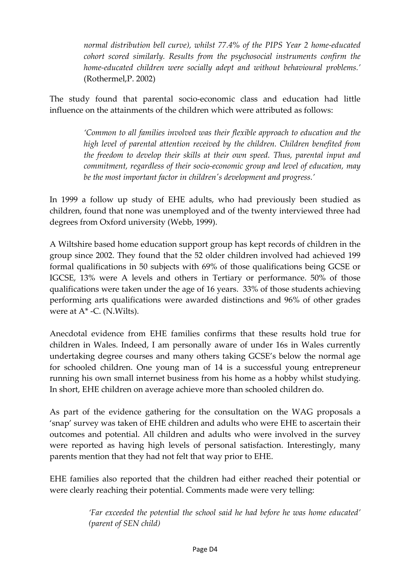*normal distribution bell curve), whilst 77.4% of the PIPS Year 2 home‐educated cohort scored similarly. Results from the psychosocial instruments confirm the home‐educated children were socially adept and without behavioural problems.'* (Rothermel,P. 2002)

The study found that parental socio-economic class and education had little influence on the attainments of the children which were attributed as follows:

> *'Common to all families involved was their flexible approach to education and the high level of parental attention received by the children. Children benefited from the freedom to develop their skills at their own speed. Thus, parental input and commitment, regardless of their socio‐economic group and level of education, may be the most important factor in childrenʹs development and progress.'*

In 1999 a follow up study of EHE adults, who had previously been studied as children, found that none was unemployed and of the twenty interviewed three had degrees from Oxford university (Webb, 1999).

A Wiltshire based home education support group has kept records of children in the group since 2002. They found that the 52 older children involved had achieved 199 formal qualifications in 50 subjects with 69% of those qualifications being GCSE or IGCSE, 13% were A levels and others in Tertiary or performance. 50% of those qualifications were taken under the age of 16 years. 33% of those students achieving performing arts qualifications were awarded distinctions and 96% of other grades were at A<sup>\*</sup> -C. (N.Wilts).

Anecdotal evidence from EHE families confirms that these results hold true for children in Wales. Indeed, I am personally aware of under 16s in Wales currently undertaking degree courses and many others taking GCSE's below the normal age for schooled children. One young man of 14 is a successful young entrepreneur running his own small internet business from his home as a hobby whilst studying. In short, EHE children on average achieve more than schooled children do.

As part of the evidence gathering for the consultation on the WAG proposals a 'snap' survey was taken of EHE children and adults who were EHE to ascertain their outcomes and potential. All children and adults who were involved in the survey were reported as having high levels of personal satisfaction. Interestingly, many parents mention that they had not felt that way prior to EHE.

EHE families also reported that the children had either reached their potential or were clearly reaching their potential. Comments made were very telling:

> *'Far exceeded the potential the school said he had before he was home educated' (parent of SEN child)*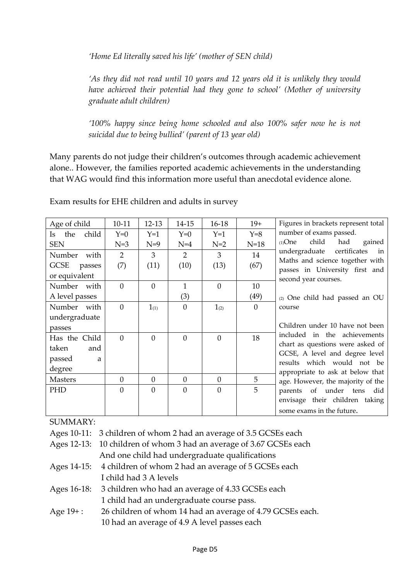*'Home Ed literally saved his life' (mother of SEN child)*

*'As they did not read until 10 years and 12 years old it is unlikely they would have achieved their potential had they gone to school' (Mother of university graduate adult children)*

*'100% happy since being home schooled and also 100% safer now he is not suicidal due to being bullied' (parent of 13 year old)* 

Many parents do not judge their children's outcomes through academic achievement alone.. However, the families reported academic achievements in the understanding that WAG would find this information more useful than anecdotal evidence alone.

| Age of child        | $10 - 11$      | 12-13          | 14-15          | $16-18$        | $19+$    | Figures in brackets represent total                          |
|---------------------|----------------|----------------|----------------|----------------|----------|--------------------------------------------------------------|
| child<br>the<br>Is. | $Y=0$          | $Y=1$          | $Y=0$          | $Y=1$          | $Y=8$    | number of exams passed.                                      |
| <b>SEN</b>          | $N=3$          | $N=9$          | $N=4$          | $N=2$          | $N=18$   | child<br>$(1)$ One<br>had<br>gained                          |
| Number with         | $\overline{2}$ | 3              | 2              | 3              | 14       | undergraduate certificates<br>in                             |
| GCSE<br>passes      | (7)            | (11)           | (10)           | (13)           | (67)     | Maths and science together with                              |
| or equivalent       |                |                |                |                |          | passes in University first and<br>second year courses.       |
| Number with         | $\theta$       | $\theta$       | $\mathbf{1}$   | $\mathbf{0}$   | 10       |                                                              |
| A level passes      |                |                | (3)            |                | (49)     | (2) One child had passed an OU                               |
| Number with         | $\theta$       | $1_{(1)}$      | $\theta$       | $1_{(2)}$      | $\theta$ | course                                                       |
| undergraduate       |                |                |                |                |          |                                                              |
| passes              |                |                |                |                |          | Children under 10 have not been                              |
| Has the Child       | $\Omega$       | $\overline{0}$ | $\theta$       | $\theta$       | 18       | included in the achievements                                 |
| taken<br>and        |                |                |                |                |          | chart as questions were asked of                             |
| passed<br>a         |                |                |                |                |          | GCSE, A level and degree level<br>results which would not be |
| degree              |                |                |                |                |          | appropriate to ask at below that                             |
| <b>Masters</b>      | $\theta$       | $\theta$       | $\overline{0}$ | $\overline{0}$ | 5        | age. However, the majority of the                            |
| PHD                 | $\mathbf{0}$   | $\theta$       | $\theta$       | $\theta$       | 5        | parents of under tens<br>did                                 |
|                     |                |                |                |                |          | envisage their children taking                               |
|                     |                |                |                |                |          | some exams in the future.                                    |
|                     |                |                |                |                |          |                                                              |

Exam results for EHE children and adults in survey

SUMMARY:

Ages 10-11: 3 children of whom 2 had an average of 3.5 GCSEs each

| Ages 12-13: 10 children of whom 3 had an average of 3.67 GCSEs each |
|---------------------------------------------------------------------|
| And one child had undergraduate qualifications                      |

- Ages 14-15: 4 children of whom 2 had an average of 5 GCSEs each I child had 3 A levels
- Ages 16-18: 3 children who had an average of 4.33 GCSEs each 1 child had an undergraduate course pass.
- Age 19+: 26 children of whom 14 had an average of 4.79 GCSEs each. 10 had an average of 4.9 A level passes each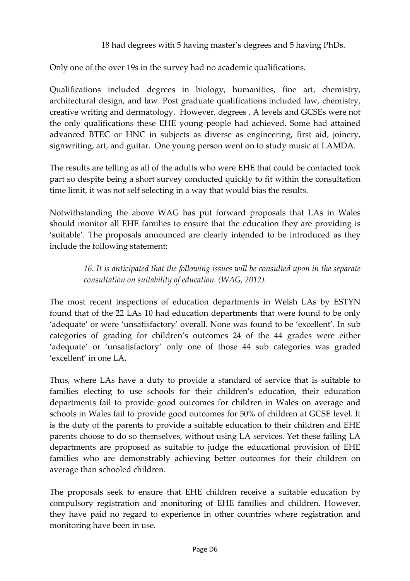## 18 had degrees with 5 having master's degrees and 5 having PhDs.

Only one of the over 19s in the survey had no academic qualifications.

Qualifications included degrees in biology, humanities, fine art, chemistry, architectural design, and law. Post graduate qualifications included law, chemistry, creative writing and dermatology. However, degrees , A levels and GCSEs were not the only qualifications these EHE young people had achieved. Some had attained advanced BTEC or HNC in subjects as diverse as engineering, first aid, joinery, signwriting, art, and guitar. One young person went on to study music at LAMDA.

The results are telling as all of the adults who were EHE that could be contacted took part so despite being a short survey conducted quickly to fit within the consultation time limit, it was not self selecting in a way that would bias the results.

Notwithstanding the above WAG has put forward proposals that LAs in Wales should monitor all EHE families to ensure that the education they are providing is 'suitable'. The proposals announced are clearly intended to be introduced as they include the following statement:

> *16. It is anticipated that the following issues will be consulted upon in the separate consultation on suitability of education. (WAG, 2012).*

The most recent inspections of education departments in Welsh LAs by ESTYN found that of the 22 LAs 10 had education departments that were found to be only 'adequate' or were 'unsatisfactory' overall. None was found to be 'excellent'. In sub categories of grading for children's outcomes 24 of the 44 grades were either 'adequate' or 'unsatisfactory' only one of those 44 sub categories was graded 'excellent' in one LA.

Thus, where LAs have a duty to provide a standard of service that is suitable to families electing to use schools for their children's education, their education departments fail to provide good outcomes for children in Wales on average and schools in Wales fail to provide good outcomes for 50% of children at GCSE level. It is the duty of the parents to provide a suitable education to their children and EHE parents choose to do so themselves, without using LA services. Yet these failing LA departments are proposed as suitable to judge the educational provision of EHE families who are demonstrably achieving better outcomes for their children on average than schooled children.

The proposals seek to ensure that EHE children receive a suitable education by compulsory registration and monitoring of EHE families and children. However, they have paid no regard to experience in other countries where registration and monitoring have been in use.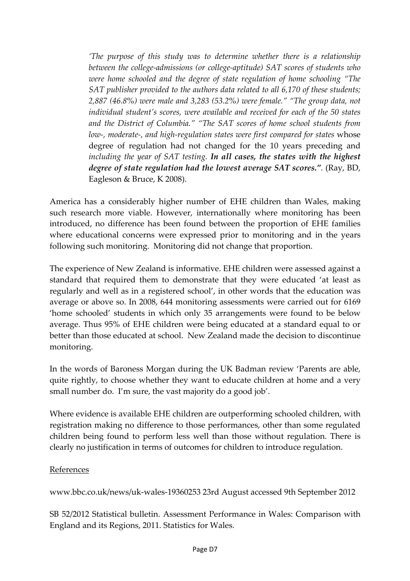*'The purpose of this study was to determine whether there is a relationship between the college‐admissions (or college‐aptitude) SAT scores of students who were home schooled and the degree of state regulation of home schooling "The SAT publisher provided to the authors data related to all 6,170 of these students; 2,887 (46.8%) were male and 3,283 (53.2%) were female." "The group data, not individual student's scores, were available and received for each of the 50 states and the District of Columbia." "The SAT scores of home school students from low‐, moderate‐, and high‐regulation states were first compared for states* whose degree of regulation had not changed for the 10 years preceding and *including the year of SAT testing. In all cases, the states with the highest degree of state regulation had the lowest average SAT scores.".* (Ray, BD, Eagleson & Bruce, K 2008).

America has a considerably higher number of EHE children than Wales, making such research more viable. However, internationally where monitoring has been introduced, no difference has been found between the proportion of EHE families where educational concerns were expressed prior to monitoring and in the years following such monitoring. Monitoring did not change that proportion.

The experience of New Zealand is informative. EHE children were assessed against a standard that required them to demonstrate that they were educated 'at least as regularly and well as in a registered school', in other words that the education was average or above so. In 2008, 644 monitoring assessments were carried out for 6169 'home schooled' students in which only 35 arrangements were found to be below average. Thus 95% of EHE children were being educated at a standard equal to or better than those educated at school. New Zealand made the decision to discontinue monitoring.

In the words of Baroness Morgan during the UK Badman review 'Parents are able, quite rightly, to choose whether they want to educate children at home and a very small number do. I'm sure, the vast majority do a good job'.

Where evidence is available EHE children are outperforming schooled children, with registration making no difference to those performances, other than some regulated children being found to perform less well than those without regulation. There is clearly no justification in terms of outcomes for children to introduce regulation.

## References

www.bbc.co.uk/news/uk‐wales‐19360253 23rd August accessed 9th September 2012

SB 52/2012 Statistical bulletin. Assessment Performance in Wales: Comparison with England and its Regions, 2011. Statistics for Wales.